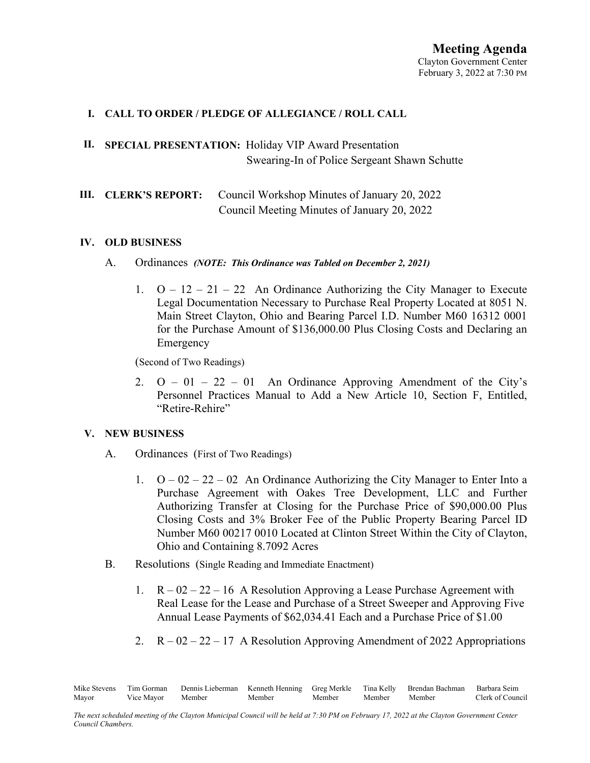### **I. CALL TO ORDER / PLEDGE OF ALLEGIANCE / ROLL CALL**

# **II. SPECIAL PRESENTATION:** Holiday VIP Award Presentation Swearing-In of Police Sergeant Shawn Schutte

# **III. CLERK'S REPORT:** Council Workshop Minutes of January 20, 2022 Council Meeting Minutes of January 20, 2022

#### **IV. OLD BUSINESS**

#### A. Ordinances *(NOTE: This Ordinance was Tabled on December 2, 2021)*

1.  $Q - 12 - 21 - 22$  An Ordinance Authorizing the City Manager to Execute Legal Documentation Necessary to Purchase Real Property Located at 8051 N. Main Street Clayton, Ohio and Bearing Parcel I.D. Number M60 16312 0001 for the Purchase Amount of \$136,000.00 Plus Closing Costs and Declaring an Emergency

(Second of Two Readings)

2.  $Q - 01 - 22 - 01$  An Ordinance Approving Amendment of the City's Personnel Practices Manual to Add a New Article 10, Section F, Entitled, "Retire-Rehire"

### **V. NEW BUSINESS**

- A. Ordinances (First of Two Readings)
	- 1.  $Q 02 22 02$  An Ordinance Authorizing the City Manager to Enter Into a Purchase Agreement with Oakes Tree Development, LLC and Further Authorizing Transfer at Closing for the Purchase Price of \$90,000.00 Plus Closing Costs and 3% Broker Fee of the Public Property Bearing Parcel ID Number M60 00217 0010 Located at Clinton Street Within the City of Clayton, Ohio and Containing 8.7092 Acres
- B. Resolutions (Single Reading and Immediate Enactment)
	- 1.  $R 02 22 16$  A Resolution Approving a Lease Purchase Agreement with Real Lease for the Lease and Purchase of a Street Sweeper and Approving Five Annual Lease Payments of \$62,034.41 Each and a Purchase Price of \$1.00
	- 2.  $R 02 22 17$  A Resolution Approving Amendment of 2022 Appropriations